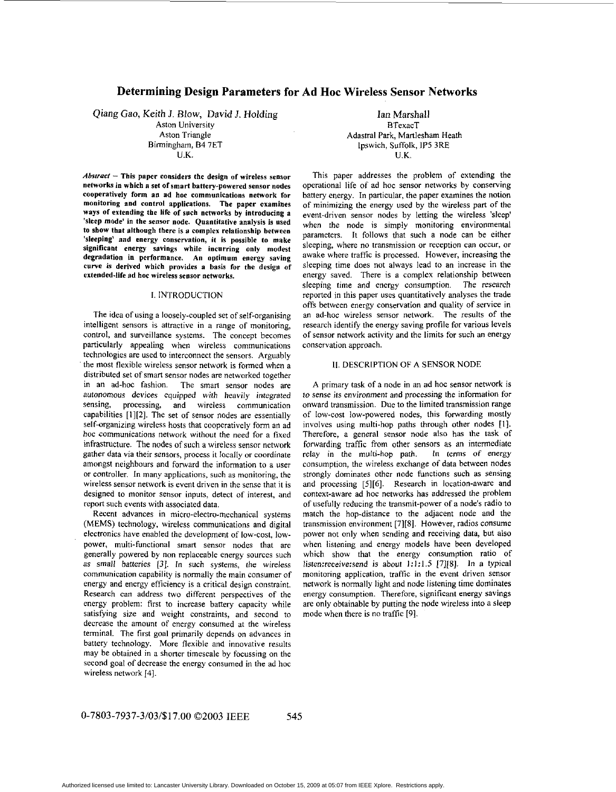# **Determining Design Parameters for Ad Hoc Wireless Sensor Networks**

Qiang Gao, Keith J. *Blow,* David J. Holding Aston University

Aston Triangle Birmingham, **84** 7ET U.K.

*Abstract* - This paper considers the design of wireless sensor networks in which a set of smart battery-powered sensor nodes cooperatively form an ad hoc communications network for monitoring and control applications. The paper examines ways of extending the life of such networks **by** introducing a 'sleep mode' in the sensor node. Quantitative analysis is used to show that although there is a complex relationship between 'sleeping' and energy conservation, it is possible to make significant energy savings while incurring only modest degradation in performance. An optimum energy saving curve is derived which provides **a** basis for the design of extended-life ad hoc wireless sensor networks.

#### **I.** INTRODUCTION

The idea of using a loosely-coupled set of self-organising intelligent sensors is attractive in a range of monitoring, control, and surveillance systems. The concept becomes particularly appealing when wireless communications technologies are used to interconnect the sensors. Arguably the most flexible wireless sensor network is formed when a distributed set of smart sensor nodes are networked together in an ad-hoc fashion. The smart sensor nodes are autonomous devices equipped with heavily integrated sensing, processing, and wireless communication capabilities  $[1][2]$ . The set of sensor nodes are essentially self-organizing wireless hosts that cooperatively form an ad hoc communications network without the need for a fixed infrastructure. The nodes of such a wireless sensor network gather data via their sensors, process it locally or coordinate amongst neighbours and forward the information to a user or controller. In many applications, such as monitoring, the wireless sensor network is event driven in the sense that it is designed to monitor sensor inputs, detect of interest, and report such events with associated data.

Recent advances in micro-electro-mechanical systems (MEMS) technology, wireless communications and digital electronics have enabled the development of low-cost, lowpower, multi-functional smart sensor nodes that are generally powered by non replaceable energy sources such as small batteries [3]. In such systems, the wireless communication capability is normally the main consumer of energy and energy efficiency is a critical design constraint. Research can address two different perspectives of the energy problem: first to increase battery capacity while satisfying size and weight constraints, and second to decrease the amount of energy consumed at the wireless terminal. The first goal primarily depends on advances in battery technology. More flexible and innovative results may be obtained in a shorter timescale by focussing on the second goal of decrease the energy consumed in the ad hoc wireless network [4].

Ian Marshall BTexacT Adastral Park, Martlesham Heath Ipswich, Suffolk, IP5 3RE U.K.

This paper addresses the problem of extending the operational life of ad hoc sensor networks by conserving battery energy. In particular, the paper examines the notion of minimizing the energy used by the wireless part of the event-driven sensor nodes by letting the wireless 'sleep' when the node is simply monitoring environmental parameters. It follows that such a node can be either sleeping, where no transmission or reception can occur, or awake where traffic is processed. However, increasing the sleeping time does not always lead to an increase in the energy saved. There is a complex relationship between sleeping time and energy consumption. The research reported in this paper uses quantitatively analyses the trade offs between energy conservation and quality of service in an ad-hoc wireless sensor network. The results of the research identify the energy saving profile for various levels of sensor network activity and the limits for such an energy conservation approach.

#### **II.** DESCRIPTION OF A SENSOR NODE

**A** primary task of a node in an ad hoc sensor network is to sense its environment and processing the information for onward transmission. Due to the limited transmission range of low-cost low-powered nodes, this forwarding mostly involves using multi-hop paths through other nodes [I]. Therefore, a general sensor node also has the task of forwarding traffic from other sensors as an intermediate relay in the multi-hop path. In terms of energy consumption, the wireless exchange of data between nodes strongly dominates other node functions such as sensing and processing [5][6]. Research in location-aware and context-aware ad hoc networks has addressed the problem of usefully reducing the transmit-power of a node's radio to match the hop-distance to the adjacent node and the transmission environment **[7][8].** However, radios consume power not only when sending and receiving data, but also when listening and energy models have been developed which show that the energy consumption ratio of 1isten:receive:send is about l:l:l,5 **[7][SJ.** In a typical monitoring application, traffic in the event driven sensor network is normally light and node listening time dominates energy consumption. Therefore, significant energy savings are only obtainable by putting the node wireless into a sleep mode when there is no traffic **[9].**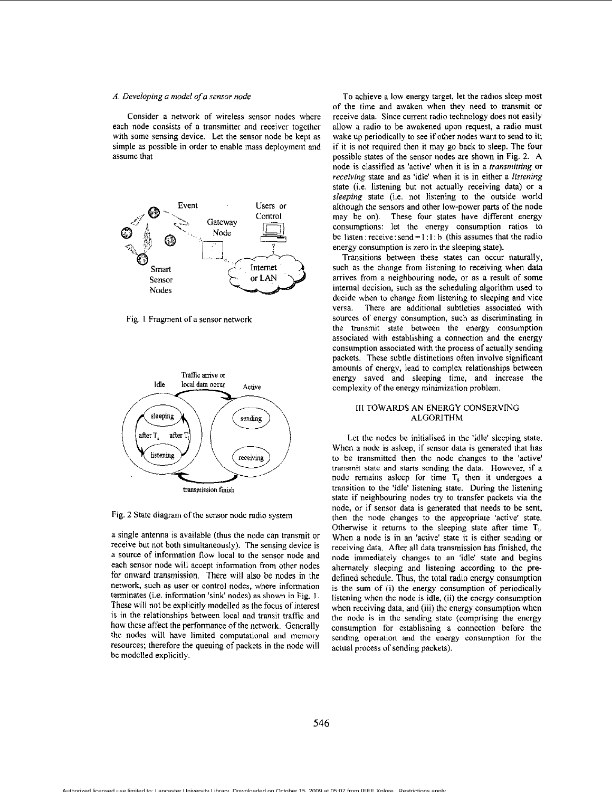#### *A. Developing a model of o sensor node*

Consider a network of wireless sensor nodes where each node consists of a transmitter and receiver together with some sensing device. Let the sensor node be kept as simple as possible in order to enable mass deployment and assume that



**Fig.** I Fragment of a sensor network



Fig. 2 State diagram of the sensor node radio system

a single antenna is available (thus the node can transmit or receive hut not both simultaneously). The sensing device **is**  a source of information flow local to the sensor node and each sensor node will accept information from other nodes for onward transmission. There will also be nodes in the network, such as user or control nodes, where information terminates (i.e. information 'sink' nodes) as shown in Fig. 1. These will not be explicitly modelled as the focus of interest is in the relationships between local and transit traffic and how these affect the performance of the network. Generally the nodes will have limited computational and memory resources; therefore the queuing of packets in the node will be modelled explicitly.

To achieve a low energy target, let the radios sleep most of the time and awaken when they need to transmit or receive data. Since current radio technology does not easily allow a radio to be awakened upon request, a radio must wake up periodically to see if other nodes want to send to it; if it is not required then it may go back to sleep. The four possible states of the sensor nodes are shown in Fig. 2. A node **is** classified as 'active' when it **is** in a *transmitting* or *receiving* state and as 'idle' when it **is** in either a *lisfening*  state (i.e. listening but not actually receiving data) or a *sleeping* state (i.e. not listening to the outside world although the sensors and other low-power parts of the node may be on). These four states have different energy consumptions: let the energy consumption ratios to be listen : receive:  $send = 1:1:b$  (this assumes that the radio energy consumption is zero in the sleeping state).

Transitions between these states can occur naturally, such as the change from listening to receiving when data arrives from a neighbouring node, or as a result of some internal decision, such as the scheduling algorithm used to decide when to change from listening to sleeping and vice versa. There are additional subtleties associated with sources of energy consumption, such as discriminating in the transmit state between the energy consumption associated with establishing a connection and the energy consumption associated with the process of actually sending packets. These subtle distinctions often involve significant amounts of energy, lead to complex relationships between energy saved and sleeping time, and increase the complexity of the energy minimization problem.

# 111 TOWARDS AN ENERGY CONSERVING ALGORITHM

Let the nodes be initialised in the 'idle' sleeping state. When a node is asleep, if sensor data **is** generated that has to he transmitted then the node changes to the 'active' transmit state and starts sending the data. However, if a node remains asleep for time T, then it undergoes **a**  transition to the 'idle' listening state. During the listening state **if** neighbouring nodes try to transfer packets via the node, or if sensor data **is** generated that needs to be sent, then the node changes to the appropriate 'active' state. Otherwise it returns to the sleeping state after time **T,.**  When a node is in an 'active' state it **is** either sending or receiving data. After all data transmission has finished, the node immediately changes to an 'idle' state and begins alternately sleeping and listening according to the predefined schedule. Thus, the total radio energy consumption **is** the sum of (i) the energy consumption of periodically listening when the node **is** idle, (ii) the energy consumption when receiving data, and (iii) the energy consumption when the node **is** in the sending state (comprising the energy consumption for establishing a connection before the sending operation and the energy consumption for the actual process of sending packets).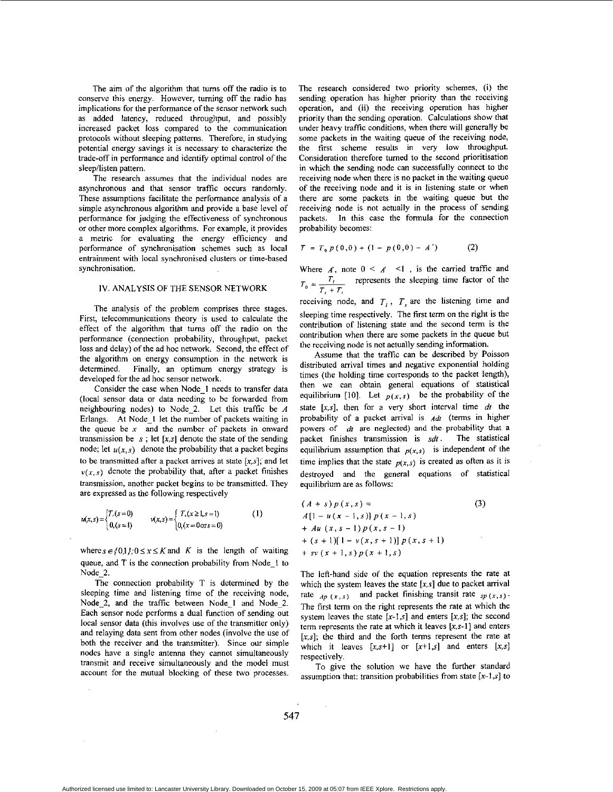The aim of the algorithm that tums off the radio is to conserve this energy. However, turning off the radio has implications for the performance of the sensor network such **as** added latency, reduced throughput, and possibly increased packet loss compared to the communication protocols without sleeping pattems. Therefore, in studying potential energy savings it is necessary to characterize the trade-off in performance and identify optimal control of the sleep/listen pattern.

The research assumes that the individual nodes are asynchronous and that sensor traffic occurs randomly. These assumptions facilitate the performance analysis of a simple asynchronous algorithm and provide a base level of performance for judging the effectiveness of synchronous or other more complex algorithms. For example, it provides a metric for evaluating the energy efficiency and performance of synchronisation schemes such as local entrainment with local synchronised clusters or time-based synchronisation.

#### IV. ANALYSIS OF THE SENSOR NETWORK

The analysis of the problem comprises three stages. First, telecommunications theory is used to calculate the effect of the algorithm that turns off the radio on the performance (connection probability, throughput, packet loss and delay) of the ad hoc network. Second, the effect of the algorithm on energy consumption in the network is determined. Finally, an optimum energy strategy is developed for the ad hoc sensor network.

Consider the case when Node-l needs to transfer data (local sensor data or data needing to he forwarded from neighbouring nodes) to Node-2. Let this traffic he *A*  Erlangs. At Node-l let the number of packets waiting in the queue be  $x$  and the number of packets in onward transmission be  $s$ ; let  $[x,s]$  denote the state of the sending node; let  $u(x, s)$  denote the probability that a packet begins to be transmitted after a packet arrives at state  $[x, s]$ ; and let  $v(x, s)$  denote the probability that, after a packet finishes transmission, another packet begins to be transmitted. They are expressed as the following respectively

$$
u(x,s) = \begin{cases} T, (s=0) & x(x,s) = \begin{cases} T, (x \ge 1, s = 1) \\ 0, (s = 1) \end{cases} & (1)
$$

where  $s \in \{0,1\}$ ;  $0 \le x \le K$  and *K* is the length of waiting queue, and T is the connection probability from Node-1 to Node-2.

The connection probability T is determined by the sleeping time and listening time of the receiving node, Node 2, and the traffic between Node\_1 and Node\_2. Each sensor node performs a dual function of sending out local sensor data (this involves use of the transmitter only) and relaying data sent from other nodes (involve the use of both the receiver and the transmitter). Since our simple nodes have a single antenna they cannot simultaneously transmit and receive simultaneously and the model must account for the mutual blocking of these two processes.

The research considered two priority schemes, (i) the sending operation has higher priority than the receiving operation, and (ii) the receiving operation has higher priority than the sending operation. Calculations show that under heavy traffic conditions, when there will generally be some packets in the waiting queue of the receiving node, the first scheme results in very low throughput. Consideration therefore turned to the second prioritisation in which the sending node can successfully connect to the receiving node when there is no packet in the waiting queue of the receiving node and it is in listening state or when there are some packets in the waiting queue but the receiving node is not actually in the process of sending packets. In this case the formula for the connection probability becomes:

$$
T = T_0 p(0,0) + (1 - p(0,0) - A') \tag{2}
$$

Where  $A'$ , note  $0 \leq A' \leq 1$ , is the carried traffic and  $T_{\tau} = \frac{T_I}{T}$  represents the sleeping time factor of the *T,* + *T,* 

receiving node, and  $T_i$ ,  $T_s$  are the listening time and sleeping time respectively. The first term on the right is the contribution of listening slate and the second term is the contribution when there are some packets in the queue but the receiving node is not actually sending information.

Assume that the traffic can be described by Poisson distributed arrival times and negative exponential holding times (the holding time corresponds to the packet length), then we can obtain general equations of statistical equilibrium [10]. Let  $p(x, s)$  be the probability of the state **[x,s],** then for a very short interval time *dr* the probability of a packet arrival is *Adt* (terms in higher powers of *dt* are neglected) and the. probability that a packet finishes transmission is *sdt*. The statistical equilibrium assumption that  $p(x, s)$  is independent of the time implies that the state  $p(x, s)$  is created as often as it is destroyed and the general equations of statistical equilibrium are as follows:

$$
(A + s) p(x, s) = \t(3)
$$
  
\n
$$
A[1 - u(x - 1, s)] p(x - 1, s)
$$
  
\n
$$
+ Au(x, s - 1) p(x, s - 1)
$$
  
\n
$$
+ (s + 1)[1 - v(x, s + 1)] p(x, s + 1)
$$
  
\n
$$
+ sv(x + 1, s) p(x + 1, s)
$$

The left-hand side of the equation represents the rate at which the system leaves the state  $[x, s]$  due to packet arrival rate  $_{Ap}(x,s)$  and packet finishing transit rate  $_{sp}(x,s)$ . The first term on the right represents the rate at which the system leaves the state  $[x-1,s]$  and enters  $[x,s]$ ; the second term represents the rate at which it leaves **[x,s-l]** and enters **[x,s];** the third and the forth terms represent the rate at which it leaves  $[x, s+1]$  or  $[x+1, s]$  and enters  $[x, s]$ respectively.

To give the solution we have the further standard assumption that: transition probabilities from state **[x-l,s]** to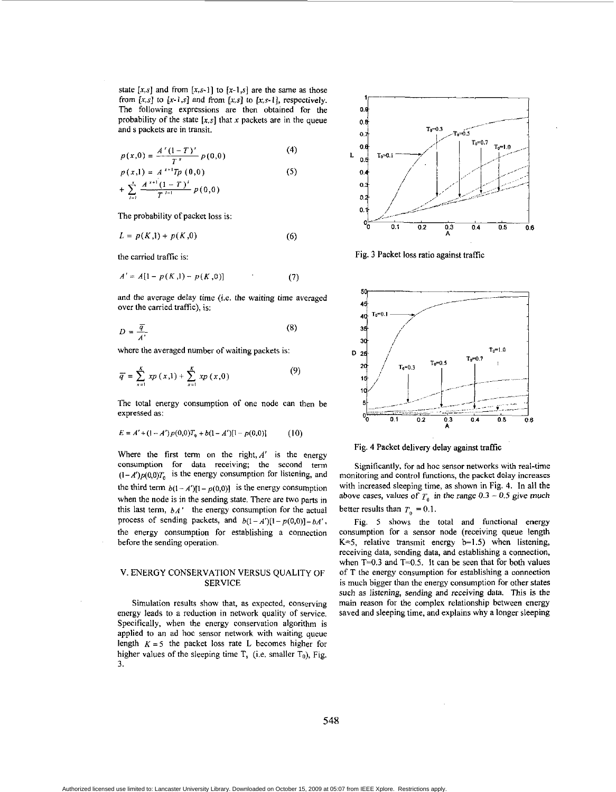state  $[x,s]$  and from  $[x,s-1]$  to  $[x-1,s]$  are the same as those from  $[x,s]$  to  $[x-1,s]$  and from  $[x,s]$  to  $[x,s-1]$ , respectively. The following expressions are then obtained for the probability of the state  $[x,s]$  that x packets are in the queue and *s* packets are in transit.

$$
p(x,0) = \frac{A^x(1-T)^x}{T^x} p(0,0)
$$
 (4)

$$
p(x,1) = A^{x+1}Tp(0,0)
$$
\n
$$
+ \sum_{i=1}^{x} \frac{A^{x+1}(1-T)^{i}}{T^{i-1}} p(0,0)
$$
\n(5)

The probability of packet loss is:

$$
L = p(K,1) + p(K,0)
$$
 (6)

the carried traffic **is:** 

$$
A' = A[1 - p(K,1) - p(K,0)] \tag{7}
$$

and the average delay time (i.e. the waiting time averaged over the carried traffic), **is:** 

$$
D = \frac{\overline{q}}{A'}\tag{8}
$$

where the averaged number of waiting packets **is:** 

$$
\overline{q} = \sum_{x=1}^{K} x p(x,1) + \sum_{x=1}^{K} x p(x,0) \tag{9}
$$

The total energy consumption of one node can then be expressed **as:** 

$$
E = A' + (1 - A')p(0,0)T_0 + b(1 - A')[1 - p(0,0)] \tag{10}
$$

Where the first term on the right,  $A'$  is the energy consumption for data receiving; the second term  $(1-A')p(0,0)T_0$  is the energy consumption for listening, and the third term  $b(1 - A')[1 - p(0,0)]$  is the energy consumption when the node **is** in the sending state. There are two parts in this last term,  $bA'$  the energy consumption for the actual process of sending packets, and  $b(1 - A')[1 - p(0,0)] - bA'$ , the energy consumption for establishing a connection before the sending operation.

# V. ENERGY CONSERVATION VERSUS QUALITY OF SERVICE

Simulation results show that, **as** expected, conserving energy leads to a reduction in network quality of service. Specifically, when the energy conservation algorithm **is**  applied to an ad hoc sensor network with waiting queue length  $K = 5$  the packet loss rate L becomes higher for higher values of the sleeping time  $T_s$  (i.e. smaller  $T_0$ ), Fig. **3.** 



Fig. **3** Packet **loss** ratio against traffic



Fig. **4** Packet delivery delay against traffic

Significantly, for ad hoc sensor networks with real-time monitoring and control functions, the packet delay increases with increased sleeping time, **as** shown in Fig. **4.** In all the above cases, values of  $T_0$  in the range  $0.3 - 0.5$  give much better results than  $T_0 = 0.1$ .

[Fig.](#page-4-0) *5* shows the total and functional energy consumption for a sensor node (receiving queue length **K=5,** relative transmit energy b=l.5) when listening, receiving data, sending data, and establishing a connection, when  $T=0.3$  and  $T=0.5$ . It can be seen that for both values of T the energy consumption for establishing a connection **is** much bigger than the energy consumption for other states such **as** listening, sending and receiving data. This is the main reason for the complex relationship between energy saved and sleeping time, and explains why a longer sleeping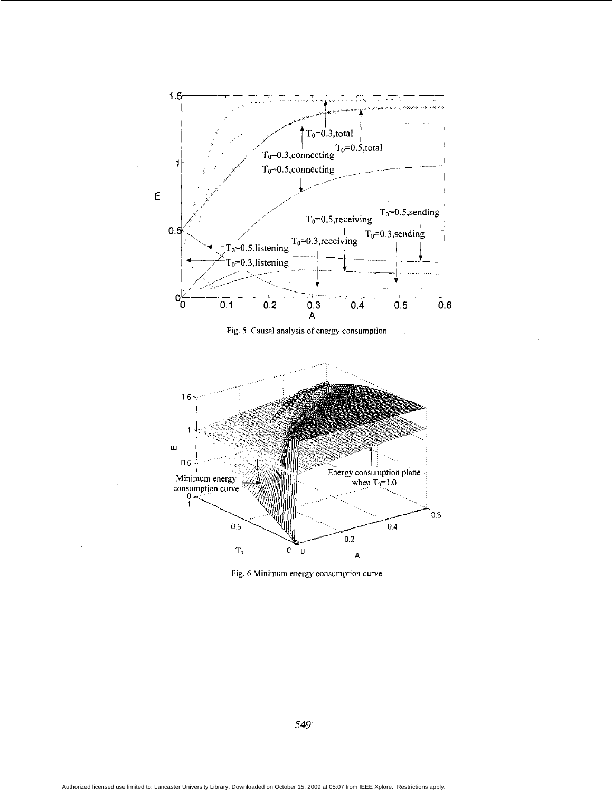<span id="page-4-0"></span>

Fig. 5 Causal analysis of energy consumption



**Fig. 6 Minimum energy consumption curve**